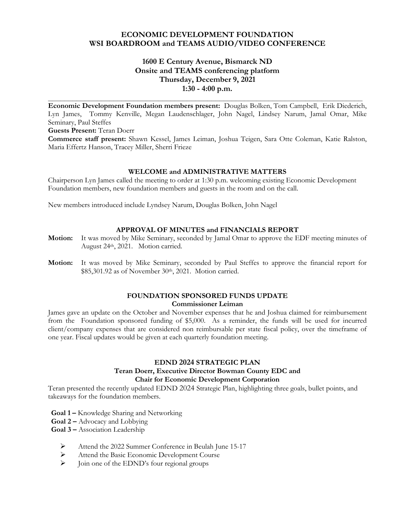## **ECONOMIC DEVELOPMENT FOUNDATION WSI BOARDROOM and TEAMS AUDIO/VIDEO CONFERENCE**

## **1600 E Century Avenue, Bismarck ND Onsite and TEAMS conferencing platform Thursday, December 9, 2021 1:30 - 4:00 p.m.**

**\_\_\_\_\_\_\_\_\_\_\_\_\_\_\_\_\_\_\_\_\_\_\_\_\_\_\_\_\_\_\_\_\_\_\_\_\_\_\_\_\_\_\_\_\_\_\_\_\_\_\_\_\_\_\_\_\_\_\_\_\_\_\_\_\_\_\_\_\_\_\_\_\_\_\_\_\_ Economic Development Foundation members present:** Douglas Bolken, Tom Campbell, Erik Diederich, Lyn James, Tommy Kenville, Megan Laudenschlager, John Nagel, Lindsey Narum, Jamal Omar, Mike Seminary, Paul Steffes

**Guests Present:** Teran Doerr

**Commerce staff present:** Shawn Kessel, James Leiman, Joshua Teigen, Sara Otte Coleman, Katie Ralston, Maria Effertz Hanson, Tracey Miller, Sherri Frieze

#### **WELCOME and ADMINISTRATIVE MATTERS**

Chairperson Lyn James called the meeting to order at 1:30 p.m. welcoming existing Economic Development Foundation members, new foundation members and guests in the room and on the call.

New members introduced include Lyndsey Narum, Douglas Bolken, John Nagel

#### **APPROVAL OF MINUTES and FINANCIALS REPORT**

- **Motion:** It was moved by Mike Seminary, seconded by Jamal Omar to approve the EDF meeting minutes of August 24th, 2021. Motion carried.
- **Motion:** It was moved by Mike Seminary, seconded by Paul Steffes to approve the financial report for \$85,301.92 as of November 30th, 2021. Motion carried.

#### **FOUNDATION SPONSORED FUNDS UPDATE Commissioner Leiman**

James gave an update on the October and November expenses that he and Joshua claimed for reimbursement from the Foundation sponsored funding of \$5,000. As a reminder, the funds will be used for incurred client/company expenses that are considered non reimbursable per state fiscal policy, over the timeframe of one year. Fiscal updates would be given at each quarterly foundation meeting.

# **EDND 2024 STRATEGIC PLAN**

#### **Teran Doerr, Executive Director Bowman County EDC and Chair for Economic Development Corporation**

Teran presented the recently updated EDND 2024 Strategic Plan, highlighting three goals, bullet points, and takeaways for the foundation members.

- **Goal 1 –** Knowledge Sharing and Networking
- **Goal 2 –** Advocacy and Lobbying
- **Goal 3 –** Association Leadership
	- Attend the 2022 Summer Conference in Beulah June 15-17
	- Attend the Basic Economic Development Course
	- Join one of the EDND's four regional groups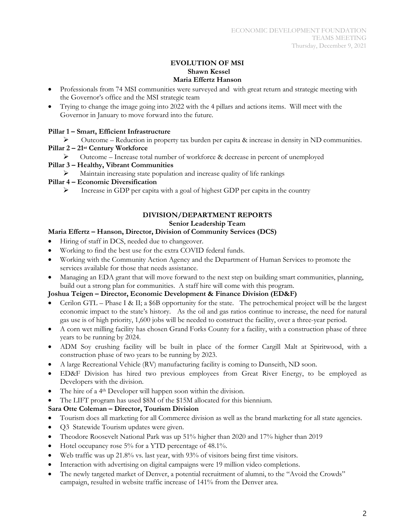#### **EVOLUTION OF MSI Shawn Kessel Maria Effertz Hanson**

- Professionals from 74 MSI communities were surveyed and with great return and strategic meeting with the Governor's office and the MSI strategic team
- Trying to change the image going into 2022 with the 4 pillars and actions items. Will meet with the Governor in January to move forward into the future.

# **Pillar 1 – Smart, Efficient Infrastructure**

- $\triangleright$  Outcome Reduction in property tax burden per capita & increase in density in ND communities.
- **Pillar 2 – 21st Century Workforce**
	- Outcome Increase total number of workforce & decrease in percent of unemployed

## **Pillar 3 – Healthy, Vibrant Communities**

Maintain increasing state population and increase quality of life rankings

## **Pillar 4 – Economic Diversification**

Increase in GDP per capita with a goal of highest GDP per capita in the country

# **DIVISION/DEPARTMENT REPORTS Senior Leadership Team**

## **Maria Effertz – Hanson, Director, Division of Community Services (DCS)**

- Hiring of staff in DCS, needed due to changeover.
- Working to find the best use for the extra COVID federal funds.
- Working with the Community Action Agency and the Department of Human Services to promote the services available for those that needs assistance.
- Managing an EDA grant that will move forward to the next step on building smart communities, planning, build out a strong plan for communities. A staff hire will come with this program.

# **Joshua Teigen – Director, Economic Development & Finance Division (ED&F)**

- Cerilon GTL Phase I & II; a \$6B opportunity for the state. The petrochemical project will be the largest economic impact to the state's history. As the oil and gas ratios continue to increase, the need for natural gas use is of high priority, 1,600 jobs will be needed to construct the facility, over a three-year period.
- A corn wet milling facility has chosen Grand Forks County for a facility, with a construction phase of three years to be running by 2024.
- ADM Soy crushing facility will be built in place of the former Cargill Malt at Spiritwood, with a construction phase of two years to be running by 2023.
- A large Recreational Vehicle (RV) manufacturing facility is coming to Dunseith, ND soon.
- ED&F Division has hired two previous employees from Great River Energy, to be employed as Developers with the division.
- The hire of a 4th Developer will happen soon within the division.
- The LIFT program has used \$8M of the \$15M allocated for this biennium.

# **Sara Otte Coleman – Director, Tourism Division**

- Tourism does all marketing for all Commerce division as well as the brand marketing for all state agencies.
- Q3 Statewide Tourism updates were given.
- Theodore Roosevelt National Park was up 51% higher than 2020 and 17% higher than 2019
- Hotel occupancy rose 5% for a YTD percentage of 48.1%.
- Web traffic was up 21.8% vs. last year, with 93% of visitors being first time visitors.
- Interaction with advertising on digital campaigns were 19 million video completions.
- The newly targeted market of Denver, a potential recruitment of alumni, to the "Avoid the Crowds" campaign, resulted in website traffic increase of 141% from the Denver area.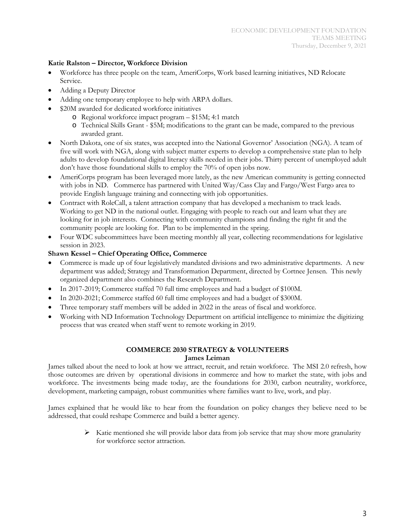#### **Katie Ralston – Director, Workforce Division**

- Workforce has three people on the team, AmeriCorps, Work based learning initiatives, ND Relocate Service.
- Adding a Deputy Director
- Adding one temporary employee to help with ARPA dollars.
- \$20M awarded for dedicated workforce initiatives
	- o Regional workforce impact program \$15M; 4:1 match
	- o Technical Skills Grant \$5M; modifications to the grant can be made, compared to the previous awarded grant.
- North Dakota, one of six states, was accepted into the National Governor' Association (NGA). A team of five will work with NGA, along with subject matter experts to develop a comprehensive state plan to help adults to develop foundational digital literacy skills needed in their jobs. Thirty percent of unemployed adult don't have those foundational skills to employ the 70% of open jobs now.
- AmeriCorps program has been leveraged more lately, as the new American community is getting connected with jobs in ND. Commerce has partnered with United Way/Cass Clay and Fargo/West Fargo area to provide English language training and connecting with job opportunities.
- Contract with RoleCall, a talent attraction company that has developed a mechanism to track leads. Working to get ND in the national outlet. Engaging with people to reach out and learn what they are looking for in job interests. Connecting with community champions and finding the right fit and the community people are looking for. Plan to be implemented in the spring.
- Four WDC subcommittees have been meeting monthly all year, collecting recommendations for legislative session in 2023.

## **Shawn Kessel – Chief Operating Office, Commerce**

- Commerce is made up of four legislatively mandated divisions and two administrative departments. A new department was added; Strategy and Transformation Department, directed by Cortnee Jensen. This newly organized department also combines the Research Department.
- In 2017-2019; Commerce staffed 70 full time employees and had a budget of \$100M.
- In 2020-2021; Commerce staffed 60 full time employees and had a budget of \$300M.
- Three temporary staff members will be added in 2022 in the areas of fiscal and workforce.
- Working with ND Information Technology Department on artificial intelligence to minimize the digitizing process that was created when staff went to remote working in 2019.

## **COMMERCE 2030 STRATEGY & VOLUNTEERS James Leiman**

James talked about the need to look at how we attract, recruit, and retain workforce. The MSI 2.0 refresh, how those outcomes are driven by operational divisions in commerce and how to market the state, with jobs and workforce. The investments being made today, are the foundations for 2030, carbon neutrality, workforce, development, marketing campaign, robust communities where families want to live, work, and play.

James explained that he would like to hear from the foundation on policy changes they believe need to be addressed, that could reshape Commerce and build a better agency.

> $\triangleright$  Katie mentioned she will provide labor data from job service that may show more granularity for workforce sector attraction.